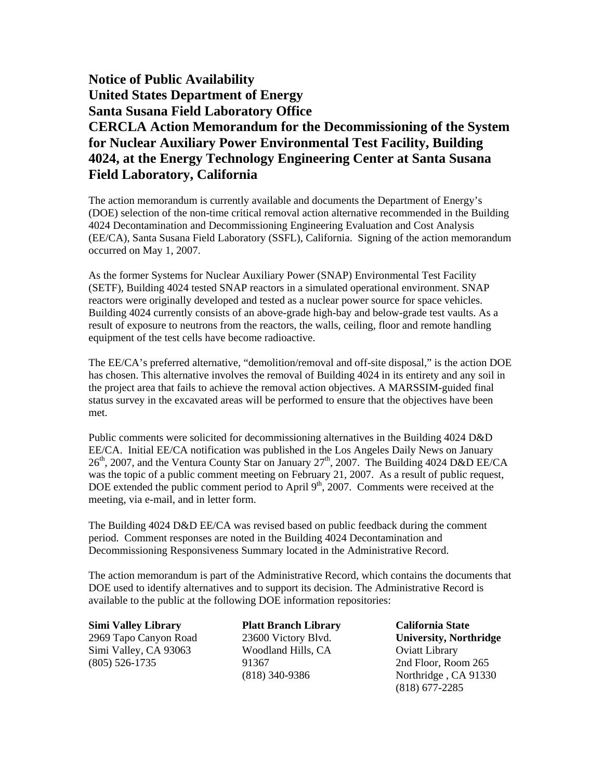## **Notice of Public Availability United States Department of Energy Santa Susana Field Laboratory Office CERCLA Action Memorandum for the Decommissioning of the System for Nuclear Auxiliary Power Environmental Test Facility, Building 4024, at the Energy Technology Engineering Center at Santa Susana Field Laboratory, California**

The action memorandum is currently available and documents the Department of Energy's (DOE) selection of the non-time critical removal action alternative recommended in the Building 4024 Decontamination and Decommissioning Engineering Evaluation and Cost Analysis (EE/CA), Santa Susana Field Laboratory (SSFL), California. Signing of the action memorandum occurred on May 1, 2007.

As the former Systems for Nuclear Auxiliary Power (SNAP) Environmental Test Facility (SETF), Building 4024 tested SNAP reactors in a simulated operational environment. SNAP reactors were originally developed and tested as a nuclear power source for space vehicles. Building 4024 currently consists of an above-grade high-bay and below-grade test vaults. As a result of exposure to neutrons from the reactors, the walls, ceiling, floor and remote handling equipment of the test cells have become radioactive.

The EE/CA's preferred alternative, "demolition/removal and off-site disposal," is the action DOE has chosen. This alternative involves the removal of Building 4024 in its entirety and any soil in the project area that fails to achieve the removal action objectives. A MARSSIM-guided final status survey in the excavated areas will be performed to ensure that the objectives have been met.

Public comments were solicited for decommissioning alternatives in the Building 4024 D&D EE/CA. Initial EE/CA notification was published in the Los Angeles Daily News on January  $26<sup>th</sup>$ , 2007, and the Ventura County Star on January 27<sup>th</sup>, 2007. The Building 4024 D&D EE/CA was the topic of a public comment meeting on February 21, 2007. As a result of public request, DOE extended the public comment period to April 9<sup>th</sup>, 2007. Comments were received at the meeting, via e-mail, and in letter form.

The Building 4024 D&D EE/CA was revised based on public feedback during the comment period. Comment responses are noted in the Building 4024 Decontamination and Decommissioning Responsiveness Summary located in the Administrative Record.

The action memorandum is part of the Administrative Record, which contains the documents that DOE used to identify alternatives and to support its decision. The Administrative Record is available to the public at the following DOE information repositories:

**Simi Valley Library**  2969 Tapo Canyon Road Simi Valley, CA 93063 (805) 526-1735

**Platt Branch Library**  23600 Victory Blvd. Woodland Hills, CA 91367 (818) 340-9386

**California State University, Northridge**  Oviatt Library 2nd Floor, Room 265 Northridge , CA 91330 (818) 677-2285